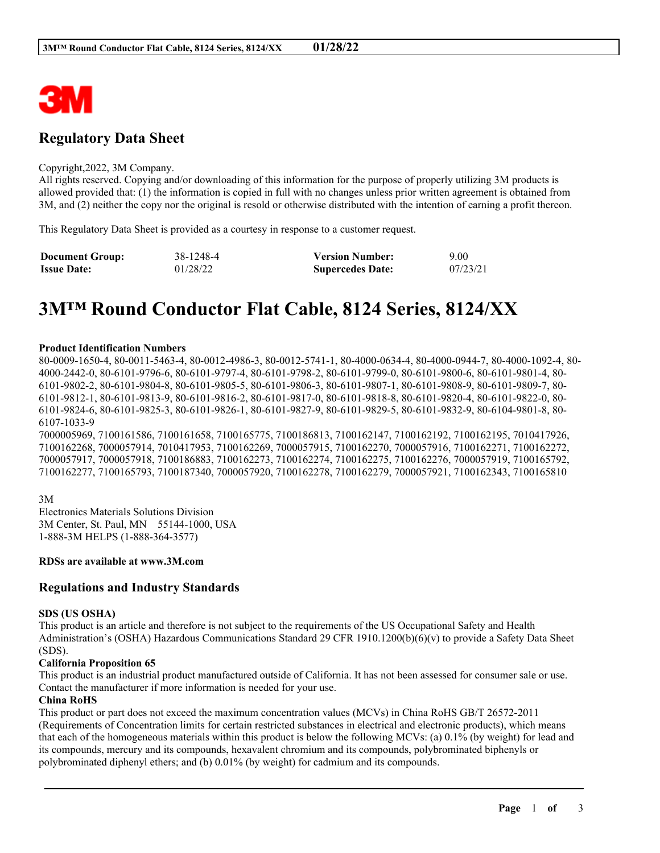

# **Regulatory Data Sheet**

#### Copyright,2022, 3M Company.

All rights reserved. Copying and/or downloading of this information for the purpose of properly utilizing 3M products is allowed provided that: (1) the information is copied in full with no changes unless prior written agreement is obtained from 3M, and (2) neither the copy nor the original is resold or otherwise distributed with the intention of earning a profit thereon.

This Regulatory Data Sheet is provided as a courtesy in response to a customer request.

| <b>Document Group:</b> | 38-1248-4 | <b>Version Number:</b>  | 9.00     |
|------------------------|-----------|-------------------------|----------|
| <b>Issue Date:</b>     | 01/28/22  | <b>Supercedes Date:</b> | 07/23/21 |

# **3M™ Round Conductor Flat Cable, 8124 Series, 8124/XX**

#### **Product Identification Numbers**

80-0009-1650-4, 80-0011-5463-4, 80-0012-4986-3, 80-0012-5741-1, 80-4000-0634-4, 80-4000-0944-7, 80-4000-1092-4, 80- 4000-2442-0, 80-6101-9796-6, 80-6101-9797-4, 80-6101-9798-2, 80-6101-9799-0, 80-6101-9800-6, 80-6101-9801-4, 80- 6101-9802-2, 80-6101-9804-8, 80-6101-9805-5, 80-6101-9806-3, 80-6101-9807-1, 80-6101-9808-9, 80-6101-9809-7, 80- 6101-9812-1, 80-6101-9813-9, 80-6101-9816-2, 80-6101-9817-0, 80-6101-9818-8, 80-6101-9820-4, 80-6101-9822-0, 80- 6101-9824-6, 80-6101-9825-3, 80-6101-9826-1, 80-6101-9827-9, 80-6101-9829-5, 80-6101-9832-9, 80-6104-9801-8, 80- 6107-1033-9

7000005969, 7100161586, 7100161658, 7100165775, 7100186813, 7100162147, 7100162192, 7100162195, 7010417926, 7100162268, 7000057914, 7010417953, 7100162269, 7000057915, 7100162270, 7000057916, 7100162271, 7100162272, 7000057917, 7000057918, 7100186883, 7100162273, 7100162274, 7100162275, 7100162276, 7000057919, 7100165792, 7100162277, 7100165793, 7100187340, 7000057920, 7100162278, 7100162279, 7000057921, 7100162343, 7100165810

3M Electronics Materials Solutions Division 3M Center, St. Paul, MN 55144-1000, USA 1-888-3M HELPS (1-888-364-3577)

#### **RDSs are available at www.3M.com**

#### **Regulations and Industry Standards**

#### **SDS (US OSHA)**

This product is an article and therefore is not subject to the requirements of the US Occupational Safety and Health Administration's (OSHA) Hazardous Communications Standard 29 CFR 1910.1200(b)(6)(v) to provide a Safety Data Sheet (SDS).

#### **California Proposition 65**

This product is an industrial product manufactured outside of California. It has not been assessed for consumer sale or use. Contact the manufacturer if more information is needed for your use.

#### **China RoHS**

This product or part does not exceed the maximum concentration values (MCVs) in China RoHS GB/T 26572-2011 (Requirements of Concentration limits for certain restricted substances in electrical and electronic products), which means that each of the homogeneous materials within this product is below the following MCVs: (a) 0.1% (by weight) for lead and its compounds, mercury and its compounds, hexavalent chromium and its compounds, polybrominated biphenyls or polybrominated diphenyl ethers; and (b) 0.01% (by weight) for cadmium and its compounds.

\_\_\_\_\_\_\_\_\_\_\_\_\_\_\_\_\_\_\_\_\_\_\_\_\_\_\_\_\_\_\_\_\_\_\_\_\_\_\_\_\_\_\_\_\_\_\_\_\_\_\_\_\_\_\_\_\_\_\_\_\_\_\_\_\_\_\_\_\_\_\_\_\_\_\_\_\_\_\_\_\_\_\_\_\_\_\_\_\_\_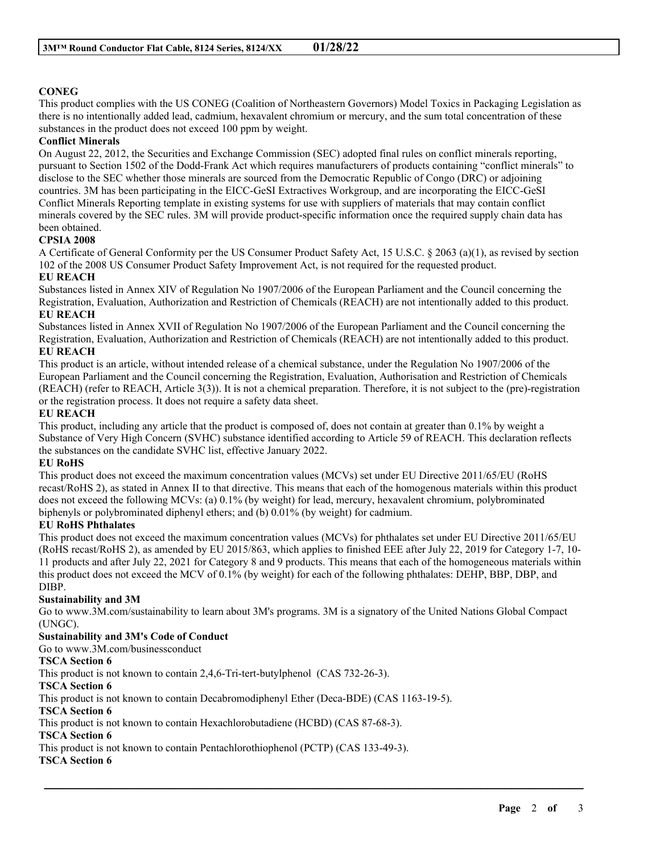# **CONEG**

This product complies with the US CONEG (Coalition of Northeastern Governors) Model Toxics in Packaging Legislation as there is no intentionally added lead, cadmium, hexavalent chromium or mercury, and the sum total concentration of these substances in the product does not exceed 100 ppm by weight.

## **Conflict Minerals**

On August 22, 2012, the Securities and Exchange Commission (SEC) adopted final rules on conflict minerals reporting, pursuant to Section 1502 of the Dodd-Frank Act which requires manufacturers of products containing "conflict minerals" to disclose to the SEC whether those minerals are sourced from the Democratic Republic of Congo (DRC) or adjoining countries. 3M has been participating in the EICC-GeSI Extractives Workgroup, and are incorporating the EICC-GeSI Conflict Minerals Reporting template in existing systems for use with suppliers of materials that may contain conflict minerals covered by the SEC rules. 3M will provide product-specific information once the required supply chain data has been obtained.

## **CPSIA 2008**

A Certificate of General Conformity per the US Consumer Product Safety Act, 15 U.S.C. § 2063 (a)(1), as revised by section 102 of the 2008 US Consumer Product Safety Improvement Act, is not required for the requested product.

#### **EU REACH**

Substances listed in Annex XIV of Regulation No 1907/2006 of the European Parliament and the Council concerning the Registration, Evaluation, Authorization and Restriction of Chemicals (REACH) are not intentionally added to this product. **EU REACH**

Substances listed in Annex XVII of Regulation No 1907/2006 of the European Parliament and the Council concerning the Registration, Evaluation, Authorization and Restriction of Chemicals (REACH) are not intentionally added to this product. **EU REACH**

This product is an article, without intended release of a chemical substance, under the Regulation No 1907/2006 of the European Parliament and the Council concerning the Registration, Evaluation, Authorisation and Restriction of Chemicals (REACH) (refer to REACH, Article 3(3)). It is not a chemical preparation. Therefore, it is not subject to the (pre)-registration or the registration process. It does not require a safety data sheet.

#### **EU REACH**

This product, including any article that the product is composed of, does not contain at greater than 0.1% by weight a Substance of Very High Concern (SVHC) substance identified according to Article 59 of REACH. This declaration reflects the substances on the candidate SVHC list, effective January 2022.

#### **EU RoHS**

This product does not exceed the maximum concentration values (MCVs) set under EU Directive 2011/65/EU (RoHS recast/RoHS 2), as stated in Annex II to that directive. This means that each of the homogenous materials within this product does not exceed the following MCVs: (a) 0.1% (by weight) for lead, mercury, hexavalent chromium, polybrominated biphenyls or polybrominated diphenyl ethers; and (b) 0.01% (by weight) for cadmium.

#### **EU RoHS Phthalates**

This product does not exceed the maximum concentration values (MCVs) for phthalates set under EU Directive 2011/65/EU (RoHS recast/RoHS 2), as amended by EU 2015/863, which applies to finished EEE after July 22, 2019 for Category 1-7, 10- 11 products and after July 22, 2021 for Category 8 and 9 products. This means that each of the homogeneous materials within this product does not exceed the MCV of 0.1% (by weight) for each of the following phthalates: DEHP, BBP, DBP, and DIBP.

#### **Sustainability and 3M**

Go to www.3M.com/sustainability to learn about 3M's programs. 3M is a signatory of the United Nations Global Compact (UNGC).

\_\_\_\_\_\_\_\_\_\_\_\_\_\_\_\_\_\_\_\_\_\_\_\_\_\_\_\_\_\_\_\_\_\_\_\_\_\_\_\_\_\_\_\_\_\_\_\_\_\_\_\_\_\_\_\_\_\_\_\_\_\_\_\_\_\_\_\_\_\_\_\_\_\_\_\_\_\_\_\_\_\_\_\_\_\_\_\_\_\_

#### **Sustainability and 3M's Code of Conduct**

Go to www.3M.com/businessconduct

#### **TSCA Section 6**

This product is not known to contain 2,4,6-Tri-tert-butylphenol (CAS 732-26-3).

#### **TSCA Section 6**

This product is not known to contain Decabromodiphenyl Ether (Deca-BDE) (CAS 1163-19-5).

# **TSCA Section 6**

This product is not known to contain Hexachlorobutadiene (HCBD) (CAS 87-68-3).

# **TSCA Section 6**

This product is not known to contain Pentachlorothiophenol (PCTP) (CAS 133-49-3).

# **TSCA Section 6**